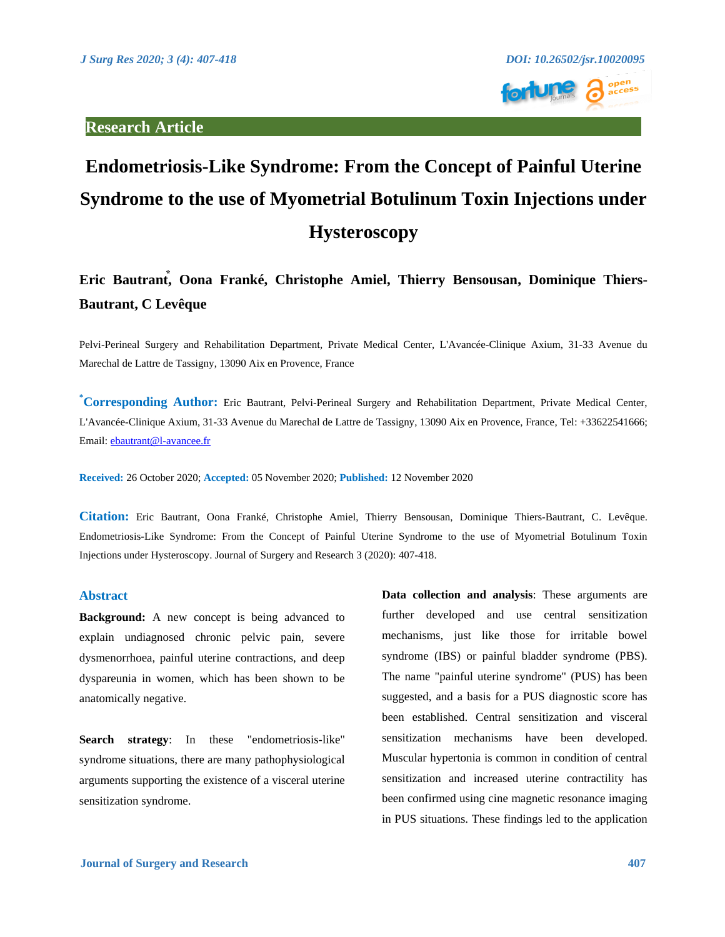

# **Endometriosis-Like Syndrome: From the Concept of Painful Uterine Syndrome to the use of Myometrial Botulinum Toxin Injections under Hysteroscopy**

**Eric Bautrant⃰ , Oona Franké, Christophe Amiel, Thierry Bensousan, Dominique Thiers-Bautrant, C Levêque**

Pelvi-Perineal Surgery and Rehabilitation Department, Private Medical Center, L'Avancée-Clinique Axium, 31-33 Avenue du Marechal de Lattre de Tassigny, 13090 Aix en Provence, France

**\*Corresponding Author:** Eric Bautrant, Pelvi-Perineal Surgery and Rehabilitation Department, Private Medical Center, L'Avancée-Clinique Axium, 31-33 Avenue du Marechal de Lattre de Tassigny, 13090 Aix en Provence, France, Tel: +33622541666; Email[: ebautrant@l-avancee.fr](mailto:ebautrant@l-avancee.fr)

**Received:** 26 October 2020; **Accepted:** 05 November 2020; **Published:** 12 November 2020

**Citation:** Eric Bautrant, Oona Franké, Christophe Amiel, Thierry Bensousan, Dominique Thiers-Bautrant, C. Levêque. Endometriosis-Like Syndrome: From the Concept of Painful Uterine Syndrome to the use of Myometrial Botulinum Toxin Injections under Hysteroscopy. Journal of Surgery and Research 3 (2020): 407-418.

#### **Abstract**

**Background:** A new concept is being advanced to explain undiagnosed chronic pelvic pain, severe dysmenorrhoea, painful uterine contractions, and deep dyspareunia in women, which has been shown to be anatomically negative.

**Search strategy**: In these "endometriosis-like" syndrome situations, there are many pathophysiological arguments supporting the existence of a visceral uterine sensitization syndrome.

**Data collection and analysis**: These arguments are further developed and use central sensitization mechanisms, just like those for irritable bowel syndrome (IBS) or painful bladder syndrome (PBS). The name "painful uterine syndrome" (PUS) has been suggested, and a basis for a PUS diagnostic score has been established. Central sensitization and visceral sensitization mechanisms have been developed. Muscular hypertonia is common in condition of central sensitization and increased uterine contractility has been confirmed using cine magnetic resonance imaging in PUS situations. These findings led to the application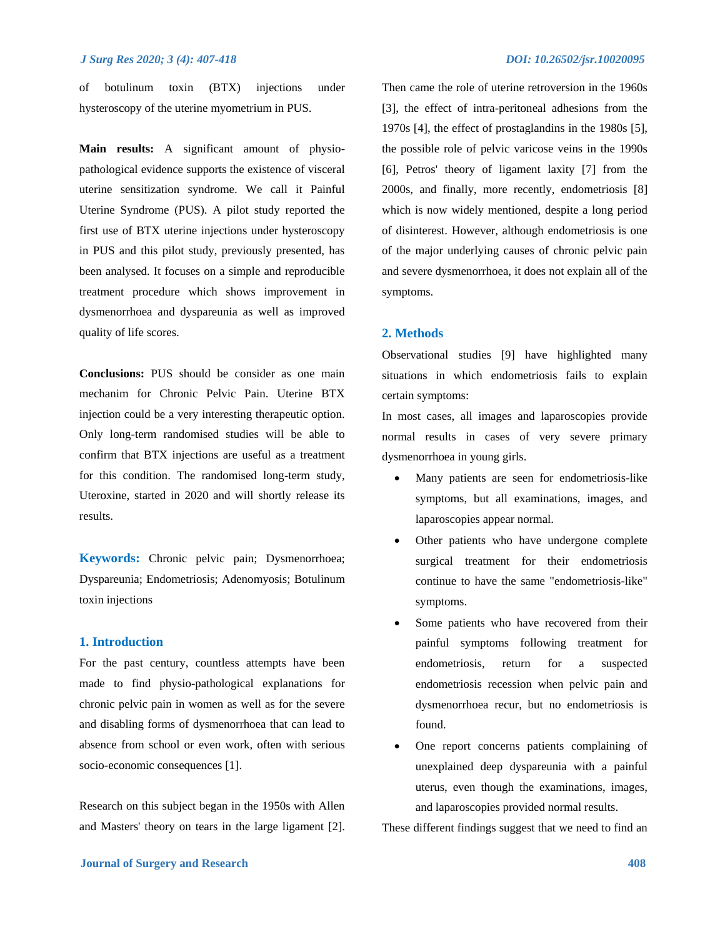of botulinum toxin (BTX) injections under hysteroscopy of the uterine myometrium in PUS.

**Main results:** A significant amount of physiopathological evidence supports the existence of visceral uterine sensitization syndrome. We call it Painful Uterine Syndrome (PUS). A pilot study reported the first use of BTX uterine injections under hysteroscopy in PUS and this pilot study, previously presented, has been analysed. It focuses on a simple and reproducible treatment procedure which shows improvement in dysmenorrhoea and dyspareunia as well as improved quality of life scores.

**Conclusions:** PUS should be consider as one main mechanim for Chronic Pelvic Pain. Uterine BTX injection could be a very interesting therapeutic option. Only long-term randomised studies will be able to confirm that BTX injections are useful as a treatment for this condition. The randomised long-term study, Uteroxine, started in 2020 and will shortly release its results.

**Keywords:** Chronic pelvic pain; Dysmenorrhoea; Dyspareunia; Endometriosis; Adenomyosis; Botulinum toxin injections

### **1. Introduction**

For the past century, countless attempts have been made to find physio-pathological explanations for chronic pelvic pain in women as well as for the severe and disabling forms of dysmenorrhoea that can lead to absence from school or even work, often with serious socio-economic consequences [1].

Research on this subject began in the 1950s with Allen and Masters' theory on tears in the large ligament [2]. Then came the role of uterine retroversion in the 1960s [3], the effect of intra-peritoneal adhesions from the 1970s [4], the effect of prostaglandins in the 1980s [5], the possible role of pelvic varicose veins in the 1990s [6], Petros' theory of ligament laxity [7] from the 2000s, and finally, more recently, endometriosis [8] which is now widely mentioned, despite a long period of disinterest. However, although endometriosis is one of the major underlying causes of chronic pelvic pain and severe dysmenorrhoea, it does not explain all of the symptoms.

#### **2. Methods**

Observational studies [9] have highlighted many situations in which endometriosis fails to explain certain symptoms:

In most cases, all images and laparoscopies provide normal results in cases of very severe primary dysmenorrhoea in young girls.

- Many patients are seen for endometriosis-like symptoms, but all examinations, images, and laparoscopies appear normal.
- Other patients who have undergone complete surgical treatment for their endometriosis continue to have the same "endometriosis-like" symptoms.
- Some patients who have recovered from their painful symptoms following treatment for endometriosis, return for a suspected endometriosis recession when pelvic pain and dysmenorrhoea recur, but no endometriosis is found.
- One report concerns patients complaining of unexplained deep dyspareunia with a painful uterus, even though the examinations, images, and laparoscopies provided normal results.

These different findings suggest that we need to find an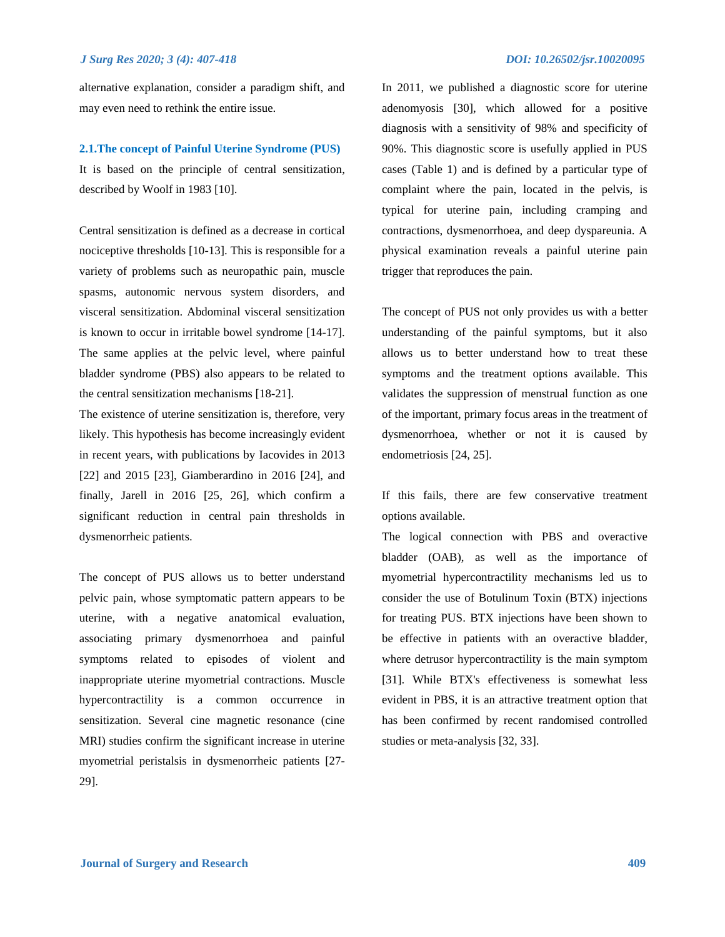alternative explanation, consider a paradigm shift, and may even need to rethink the entire issue.

### **2.1.The concept of Painful Uterine Syndrome (PUS)**

It is based on the principle of central sensitization, described by Woolf in 1983 [10].

Central sensitization is defined as a decrease in cortical nociceptive thresholds [10-13]. This is responsible for a variety of problems such as neuropathic pain, muscle spasms, autonomic nervous system disorders, and visceral sensitization. Abdominal visceral sensitization is known to occur in irritable bowel syndrome [14-17]. The same applies at the pelvic level, where painful bladder syndrome (PBS) also appears to be related to the central sensitization mechanisms [18-21].

The existence of uterine sensitization is, therefore, very likely. This hypothesis has become increasingly evident in recent years, with publications by Iacovides in 2013 [22] and 2015 [23], Giamberardino in 2016 [24], and finally, Jarell in 2016 [25, 26], which confirm a significant reduction in central pain thresholds in dysmenorrheic patients.

The concept of PUS allows us to better understand pelvic pain, whose symptomatic pattern appears to be uterine, with a negative anatomical evaluation, associating primary dysmenorrhoea and painful symptoms related to episodes of violent and inappropriate uterine myometrial contractions. Muscle hypercontractility is a common occurrence in sensitization. Several cine magnetic resonance (cine MRI) studies confirm the significant increase in uterine myometrial peristalsis in dysmenorrheic patients [27- 29].

In 2011, we published a diagnostic score for uterine adenomyosis [30], which allowed for a positive diagnosis with a sensitivity of 98% and specificity of 90%. This diagnostic score is usefully applied in PUS cases (Table 1) and is defined by a particular type of complaint where the pain, located in the pelvis, is typical for uterine pain, including cramping and contractions, dysmenorrhoea, and deep dyspareunia. A physical examination reveals a painful uterine pain trigger that reproduces the pain.

The concept of PUS not only provides us with a better understanding of the painful symptoms, but it also allows us to better understand how to treat these symptoms and the treatment options available. This validates the suppression of menstrual function as one of the important, primary focus areas in the treatment of dysmenorrhoea, whether or not it is caused by endometriosis [24, 25].

If this fails, there are few conservative treatment options available.

The logical connection with PBS and overactive bladder (OAB), as well as the importance of myometrial hypercontractility mechanisms led us to consider the use of Botulinum Toxin (BTX) injections for treating PUS. BTX injections have been shown to be effective in patients with an overactive bladder, where detrusor hypercontractility is the main symptom [31]. While BTX's effectiveness is somewhat less evident in PBS, it is an attractive treatment option that has been confirmed by recent randomised controlled studies or meta-analysis [32, 33].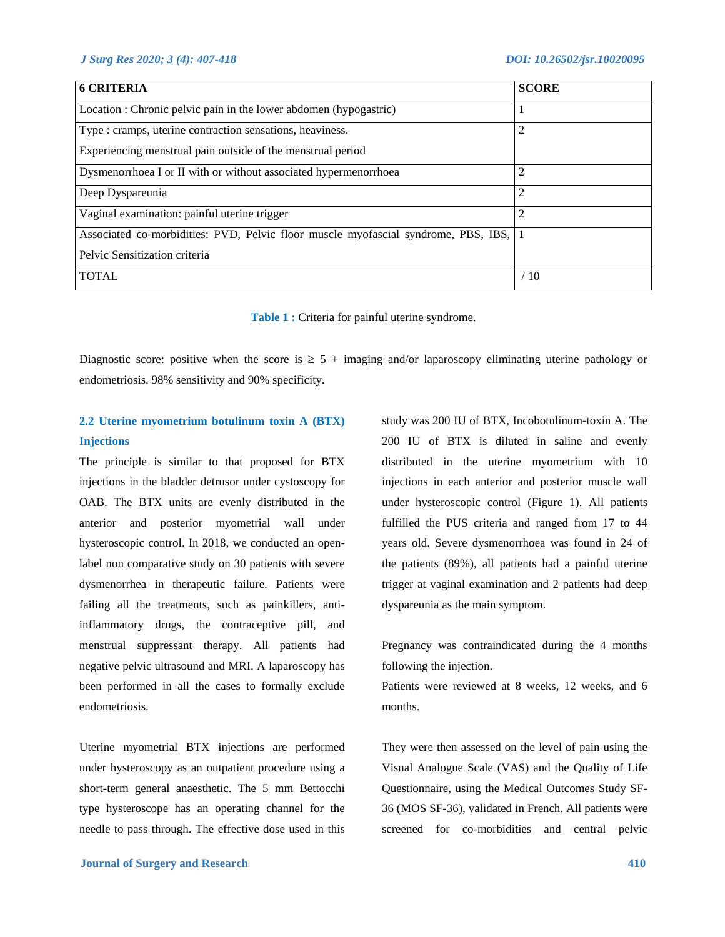| <b>6 CRITERIA</b>                                                                      | <b>SCORE</b>   |
|----------------------------------------------------------------------------------------|----------------|
| Location : Chronic pelvic pain in the lower abdomen (hypogastric)                      |                |
| Type : cramps, uterine contraction sensations, heaviness.                              | 2              |
| Experiencing menstrual pain outside of the menstrual period                            |                |
| Dysmenorrhoea I or II with or without associated hypermenorrhoea                       | $\overline{2}$ |
| Deep Dyspareunia                                                                       | $\overline{2}$ |
| Vaginal examination: painful uterine trigger                                           | 2              |
| Associated co-morbidities: PVD, Pelvic floor muscle myofascial syndrome, PBS, IBS,   1 |                |
| Pelvic Sensitization criteria                                                          |                |
| <b>TOTAL</b>                                                                           | /10            |

**Table 1 :** Criteria for painful uterine syndrome.

Diagnostic score: positive when the score is  $\geq 5 +$  imaging and/or laparoscopy eliminating uterine pathology or endometriosis. 98% sensitivity and 90% specificity.

# **2.2 Uterine myometrium botulinum toxin A (BTX) Injections**

The principle is similar to that proposed for BTX injections in the bladder detrusor under cystoscopy for OAB. The BTX units are evenly distributed in the anterior and posterior myometrial wall under hysteroscopic control. In 2018, we conducted an openlabel non comparative study on 30 patients with severe dysmenorrhea in therapeutic failure. Patients were failing all the treatments, such as painkillers, antiinflammatory drugs, the contraceptive pill, and menstrual suppressant therapy. All patients had negative pelvic ultrasound and MRI. A laparoscopy has been performed in all the cases to formally exclude endometriosis.

Uterine myometrial BTX injections are performed under hysteroscopy as an outpatient procedure using a short-term general anaesthetic. The 5 mm Bettocchi type hysteroscope has an operating channel for the needle to pass through. The effective dose used in this study was 200 IU of BTX, Incobotulinum-toxin A. The 200 IU of BTX is diluted in saline and evenly distributed in the uterine myometrium with 10 injections in each anterior and posterior muscle wall under hysteroscopic control (Figure 1). All patients fulfilled the PUS criteria and ranged from 17 to 44 years old. Severe dysmenorrhoea was found in 24 of the patients (89%), all patients had a painful uterine trigger at vaginal examination and 2 patients had deep dyspareunia as the main symptom.

Pregnancy was contraindicated during the 4 months following the injection.

Patients were reviewed at 8 weeks, 12 weeks, and 6 months.

They were then assessed on the level of pain using the Visual Analogue Scale (VAS) and the Quality of Life Questionnaire, using the Medical Outcomes Study SF-36 (MOS SF-36), validated in French. All patients were screened for co-morbidities and central pelvic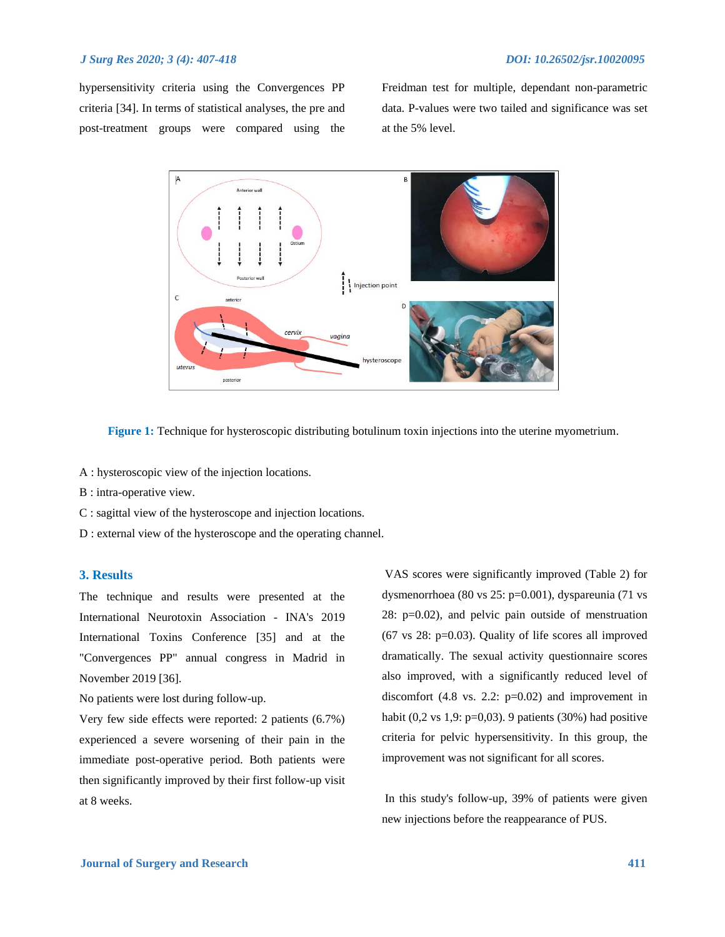hypersensitivity criteria using the Convergences PP criteria [34]. In terms of statistical analyses, the pre and post-treatment groups were compared using the Freidman test for multiple, dependant non-parametric data. P-values were two tailed and significance was set at the 5% level.



**Figure 1:** Technique for hysteroscopic distributing botulinum toxin injections into the uterine myometrium.

A : hysteroscopic view of the injection locations.

- B : intra-operative view.
- C : sagittal view of the hysteroscope and injection locations.
- D : external view of the hysteroscope and the operating channel.

### **3. Results**

The technique and results were presented at the International Neurotoxin Association - INA's 2019 International Toxins Conference [35] and at the "Convergences PP" annual congress in Madrid in November 2019 [36].

No patients were lost during follow-up.

Very few side effects were reported: 2 patients (6.7%) experienced a severe worsening of their pain in the immediate post-operative period. Both patients were then significantly improved by their first follow-up visit at 8 weeks.

VAS scores were significantly improved (Table 2) for dysmenorrhoea (80 vs 25: p=0.001), dyspareunia (71 vs 28: p=0.02), and pelvic pain outside of menstruation  $(67 \text{ vs } 28: \text{p=0.03})$ . Quality of life scores all improved dramatically. The sexual activity questionnaire scores also improved, with a significantly reduced level of discomfort  $(4.8 \text{ vs. } 2.2: \text{ p=0.02})$  and improvement in habit (0,2 vs 1,9:  $p=0,03$ ). 9 patients (30%) had positive criteria for pelvic hypersensitivity. In this group, the improvement was not significant for all scores.

In this study's follow-up, 39% of patients were given new injections before the reappearance of PUS.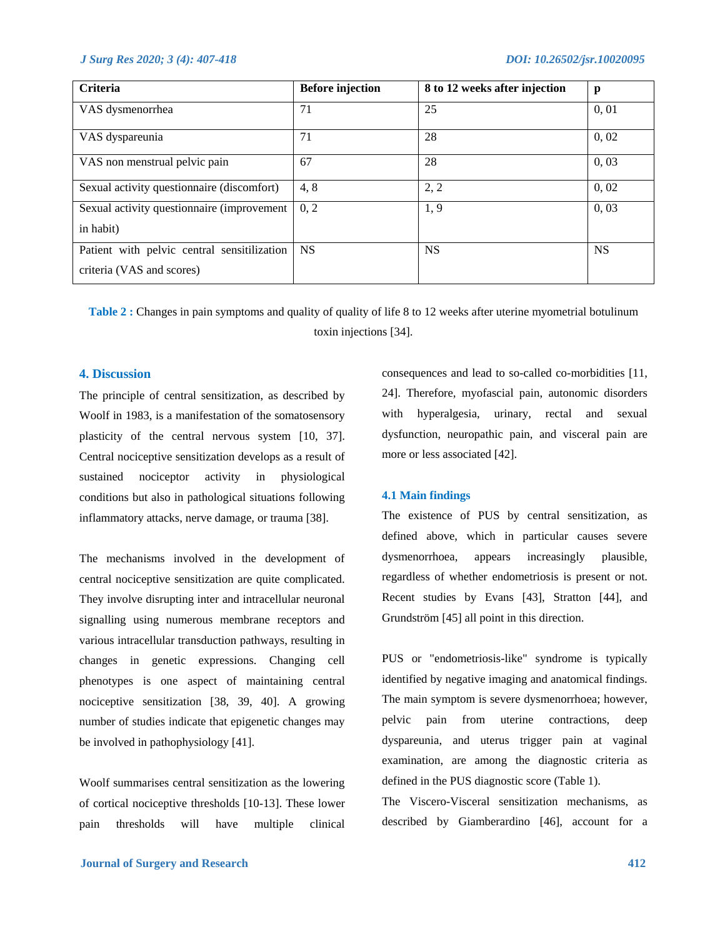| Criteria                                                                 | <b>Before injection</b> | 8 to 12 weeks after injection | p         |
|--------------------------------------------------------------------------|-------------------------|-------------------------------|-----------|
| VAS dysmenorrhea                                                         | 71                      | 25                            | 0, 01     |
| VAS dyspareunia                                                          | 71                      | 28                            | 0,02      |
| VAS non menstrual pelvic pain                                            | 67                      | 28                            | 0,03      |
| Sexual activity questionnaire (discomfort)                               | 4,8                     | 2, 2                          | 0,02      |
| Sexual activity questionnaire (improvement<br>in habit)                  | 0, 2                    | 1, 9                          | 0,03      |
| Patient with pelvic central sensitilization<br>criteria (VAS and scores) | <b>NS</b>               | <b>NS</b>                     | <b>NS</b> |

**Table 2 :** Changes in pain symptoms and quality of quality of life 8 to 12 weeks after uterine myometrial botulinum toxin injections [34].

## **4. Discussion**

The principle of central sensitization, as described by Woolf in 1983, is a manifestation of the somatosensory plasticity of the central nervous system [10, 37]. Central nociceptive sensitization develops as a result of sustained nociceptor activity in physiological conditions but also in pathological situations following inflammatory attacks, nerve damage, or trauma [38].

The mechanisms involved in the development of central nociceptive sensitization are quite complicated. They involve disrupting inter and intracellular neuronal signalling using numerous membrane receptors and various intracellular transduction pathways, resulting in changes in genetic expressions. Changing cell phenotypes is one aspect of maintaining central nociceptive sensitization [38, 39, 40]. A growing number of studies indicate that epigenetic changes may be involved in pathophysiology [41].

Woolf summarises central sensitization as the lowering of cortical nociceptive thresholds [10-13]. These lower pain thresholds will have multiple clinical

consequences and lead to so-called co-morbidities [11, 24]. Therefore, myofascial pain, autonomic disorders with hyperalgesia, urinary, rectal and sexual dysfunction, neuropathic pain, and visceral pain are more or less associated [42].

#### **4.1 Main findings**

The existence of PUS by central sensitization, as defined above, which in particular causes severe dysmenorrhoea, appears increasingly plausible, regardless of whether endometriosis is present or not. Recent studies by Evans [43], Stratton [44], and Grundström [45] all point in this direction.

PUS or "endometriosis-like" syndrome is typically identified by negative imaging and anatomical findings. The main symptom is severe dysmenorrhoea; however, pelvic pain from uterine contractions, deep dyspareunia, and uterus trigger pain at vaginal examination, are among the diagnostic criteria as defined in the PUS diagnostic score (Table 1).

The Viscero-Visceral sensitization mechanisms, as described by Giamberardino [46], account for a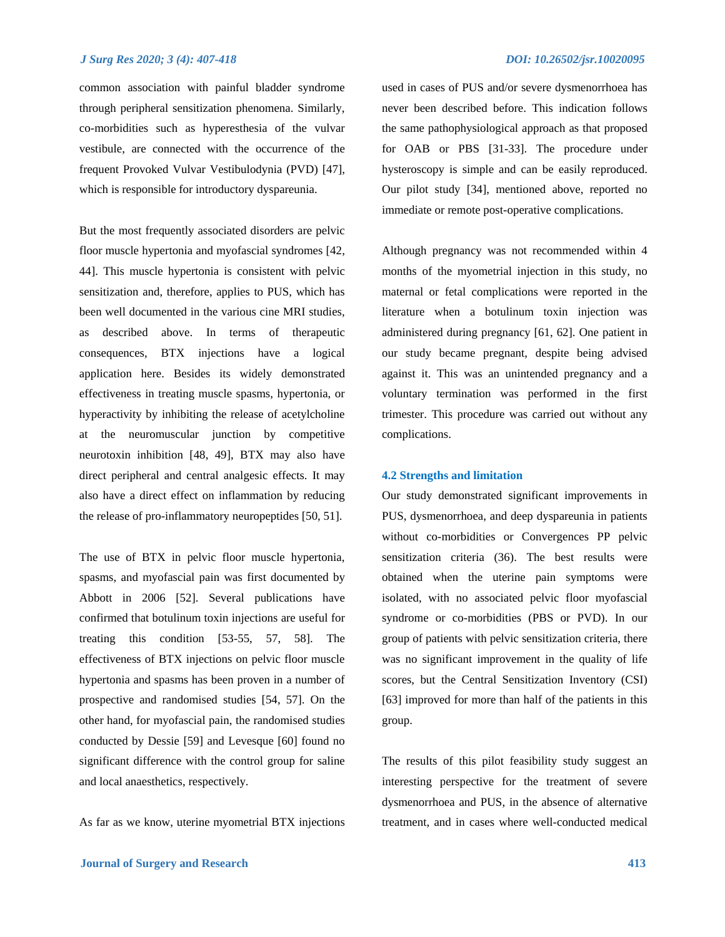common association with painful bladder syndrome through peripheral sensitization phenomena. Similarly, co-morbidities such as hyperesthesia of the vulvar vestibule, are connected with the occurrence of the frequent Provoked Vulvar Vestibulodynia (PVD) [47], which is responsible for introductory dyspareunia.

But the most frequently associated disorders are pelvic floor muscle hypertonia and myofascial syndromes [42, 44]. This muscle hypertonia is consistent with pelvic sensitization and, therefore, applies to PUS, which has been well documented in the various cine MRI studies, as described above. In terms of therapeutic consequences, BTX injections have a logical application here. Besides its widely demonstrated effectiveness in treating muscle spasms, hypertonia, or hyperactivity by inhibiting the release of acetylcholine at the neuromuscular junction by competitive neurotoxin inhibition [48, 49], BTX may also have direct peripheral and central analgesic effects. It may also have a direct effect on inflammation by reducing the release of pro-inflammatory neuropeptides [50, 51].

The use of BTX in pelvic floor muscle hypertonia, spasms, and myofascial pain was first documented by Abbott in 2006 [52]. Several publications have confirmed that botulinum toxin injections are useful for treating this condition [53-55, 57, 58]. The effectiveness of BTX injections on pelvic floor muscle hypertonia and spasms has been proven in a number of prospective and randomised studies [54, 57]. On the other hand, for myofascial pain, the randomised studies conducted by Dessie [59] and Levesque [60] found no significant difference with the control group for saline and local anaesthetics, respectively.

As far as we know, uterine myometrial BTX injections

used in cases of PUS and/or severe dysmenorrhoea has never been described before. This indication follows the same pathophysiological approach as that proposed for OAB or PBS [31-33]. The procedure under hysteroscopy is simple and can be easily reproduced. Our pilot study [34], mentioned above, reported no immediate or remote post-operative complications.

Although pregnancy was not recommended within 4 months of the myometrial injection in this study, no maternal or fetal complications were reported in the literature when a botulinum toxin injection was administered during pregnancy [61, 62]. One patient in our study became pregnant, despite being advised against it. This was an unintended pregnancy and a voluntary termination was performed in the first trimester. This procedure was carried out without any complications.

#### **4.2 Strengths and limitation**

Our study demonstrated significant improvements in PUS, dysmenorrhoea, and deep dyspareunia in patients without co-morbidities or Convergences PP pelvic sensitization criteria (36). The best results were obtained when the uterine pain symptoms were isolated, with no associated pelvic floor myofascial syndrome or co-morbidities (PBS or PVD). In our group of patients with pelvic sensitization criteria, there was no significant improvement in the quality of life scores, but the Central Sensitization Inventory (CSI) [63] improved for more than half of the patients in this group.

The results of this pilot feasibility study suggest an interesting perspective for the treatment of severe dysmenorrhoea and PUS, in the absence of alternative treatment, and in cases where well-conducted medical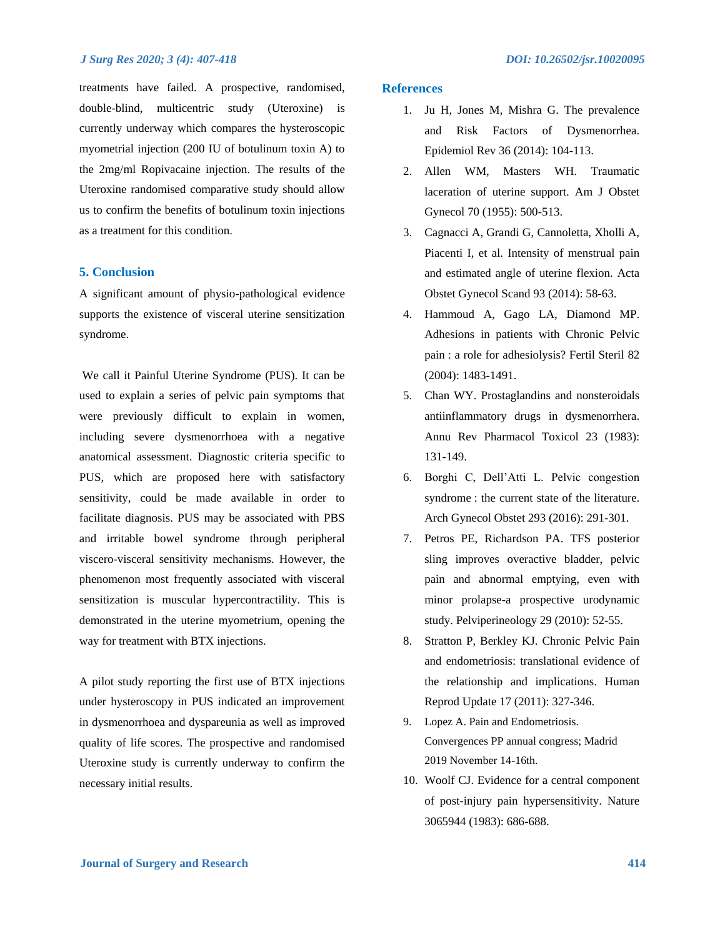treatments have failed. A prospective, randomised, double-blind, multicentric study (Uteroxine) is currently underway which compares the hysteroscopic myometrial injection (200 IU of botulinum toxin A) to the 2mg/ml Ropivacaine injection. The results of the Uteroxine randomised comparative study should allow us to confirm the benefits of botulinum toxin injections as a treatment for this condition.

# **5. Conclusion**

A significant amount of physio-pathological evidence supports the existence of visceral uterine sensitization syndrome.

We call it Painful Uterine Syndrome (PUS). It can be used to explain a series of pelvic pain symptoms that were previously difficult to explain in women, including severe dysmenorrhoea with a negative anatomical assessment. Diagnostic criteria specific to PUS, which are proposed here with satisfactory sensitivity, could be made available in order to facilitate diagnosis. PUS may be associated with PBS and irritable bowel syndrome through peripheral viscero-visceral sensitivity mechanisms. However, the phenomenon most frequently associated with visceral sensitization is muscular hypercontractility. This is demonstrated in the uterine myometrium, opening the way for treatment with BTX injections.

A pilot study reporting the first use of BTX injections under hysteroscopy in PUS indicated an improvement in dysmenorrhoea and dyspareunia as well as improved quality of life scores. The prospective and randomised Uteroxine study is currently underway to confirm the necessary initial results.

#### **References**

- 1. Ju H, Jones M, Mishra G. The prevalence and Risk Factors of Dysmenorrhea. Epidemiol Rev 36 (2014): 104-113.
- 2. Allen WM, Masters WH. Traumatic laceration of uterine support. Am J Obstet Gynecol 70 (1955): 500-513.
- 3. Cagnacci A, Grandi G, Cannoletta, Xholli A, Piacenti I, et al. Intensity of menstrual pain and estimated angle of uterine flexion. Acta Obstet Gynecol Scand 93 (2014): 58-63.
- 4. Hammoud A, Gago LA, Diamond MP. Adhesions in patients with Chronic Pelvic pain : a role for adhesiolysis? Fertil Steril 82 (2004): 1483-1491.
- 5. Chan WY. Prostaglandins and nonsteroidals antiinflammatory drugs in dysmenorrhera. Annu Rev Pharmacol Toxicol 23 (1983): 131-149.
- 6. Borghi C, Dell'Atti L. Pelvic congestion syndrome : the current state of the literature. Arch Gynecol Obstet 293 (2016): 291-301.
- 7. Petros PE, Richardson PA. TFS posterior sling improves overactive bladder, pelvic pain and abnormal emptying, even with minor prolapse-a prospective urodynamic study. Pelviperineology 29 (2010): 52-55.
- 8. Stratton P, Berkley KJ. Chronic Pelvic Pain and endometriosis: translational evidence of the relationship and implications. Human Reprod Update 17 (2011): 327-346.
- 9. Lopez A. Pain and Endometriosis. Convergences PP annual congress; Madrid 2019 November 14-16th.
- 10. Woolf CJ. Evidence for a central component of post-injury pain hypersensitivity. Nature 3065944 (1983): 686-688.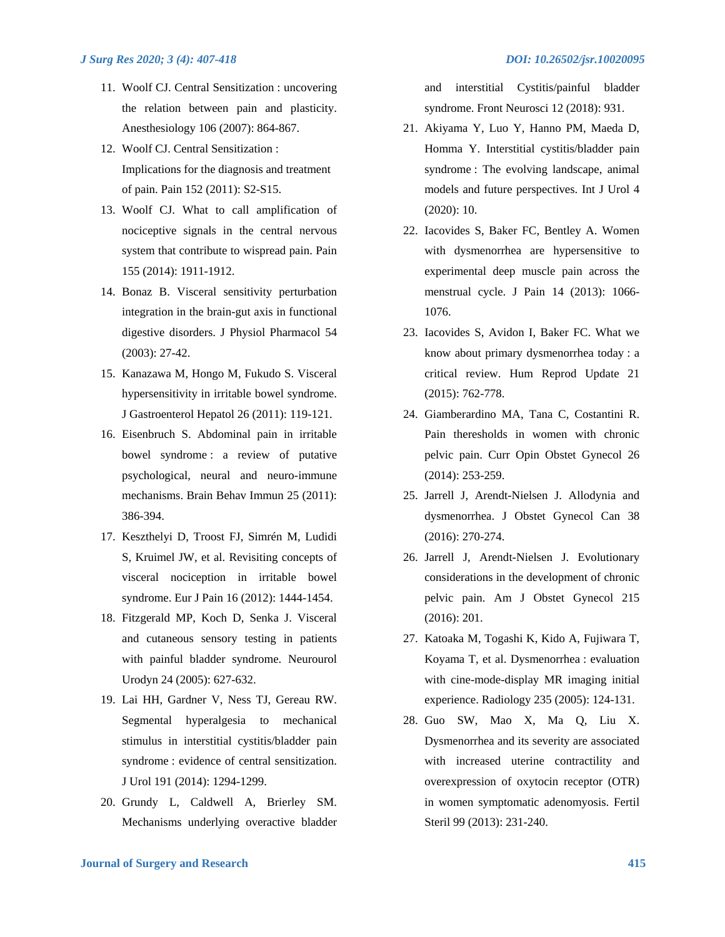- 11. Woolf CJ. Central Sensitization : uncovering the relation between pain and plasticity. Anesthesiology 106 (2007): 864-867.
- 12. Woolf CJ. Central Sensitization : Implications for the diagnosis and treatment of pain. Pain 152 (2011): S2-S15.
- 13. Woolf CJ. What to call amplification of nociceptive signals in the central nervous system that contribute to wispread pain. Pain 155 (2014): 1911-1912.
- 14. Bonaz B. Visceral sensitivity perturbation integration in the brain-gut axis in functional digestive disorders. J Physiol Pharmacol 54 (2003): 27-42.
- 15. Kanazawa M, Hongo M, Fukudo S. Visceral hypersensitivity in irritable bowel syndrome. J Gastroenterol Hepatol 26 (2011): 119-121.
- 16. Eisenbruch S. Abdominal pain in irritable bowel syndrome : a review of putative psychological, neural and neuro-immune mechanisms. Brain Behav Immun 25 (2011): 386-394.
- 17. Keszthelyi D, Troost FJ, Simrén M, Ludidi S, Kruimel JW, et al. Revisiting concepts of visceral nociception in irritable bowel syndrome. Eur J Pain 16 (2012): 1444-1454.
- 18. Fitzgerald MP, Koch D, Senka J. Visceral and cutaneous sensory testing in patients with painful bladder syndrome. Neurourol Urodyn 24 (2005): 627-632.
- 19. Lai HH, Gardner V, Ness TJ, Gereau RW. Segmental hyperalgesia to mechanical stimulus in interstitial cystitis/bladder pain syndrome : evidence of central sensitization. J Urol 191 (2014): 1294-1299.
- 20. Grundy L, Caldwell A, Brierley SM. Mechanisms underlying overactive bladder

and interstitial Cystitis/painful bladder syndrome. Front Neurosci 12 (2018): 931.

- 21. Akiyama Y, Luo Y, Hanno PM, Maeda D, Homma Y. Interstitial cystitis/bladder pain syndrome : The evolving landscape, animal models and future perspectives. Int J Urol 4 (2020): 10.
- 22. Iacovides S, Baker FC, Bentley A. Women with dysmenorrhea are hypersensitive to experimental deep muscle pain across the menstrual cycle. J Pain 14 (2013): 1066- 1076.
- 23. Iacovides S, Avidon I, Baker FC. What we know about primary dysmenorrhea today : a critical review. Hum Reprod Update 21 (2015): 762-778.
- 24. Giamberardino MA, Tana C, Costantini R. Pain theresholds in women with chronic pelvic pain. Curr Opin Obstet Gynecol 26 (2014): 253-259.
- 25. Jarrell J, Arendt-Nielsen J. Allodynia and dysmenorrhea. J Obstet Gynecol Can 38 (2016): 270-274.
- 26. Jarrell J, Arendt-Nielsen J. Evolutionary considerations in the development of chronic pelvic pain. Am J Obstet Gynecol 215 (2016): 201.
- 27. Katoaka M, Togashi K, Kido A, Fujiwara T, Koyama T, et al. Dysmenorrhea : evaluation with cine-mode-display MR imaging initial experience. Radiology 235 (2005): 124-131.
- 28. Guo SW, Mao X, Ma Q, Liu X. Dysmenorrhea and its severity are associated with increased uterine contractility and overexpression of oxytocin receptor (OTR) in women symptomatic adenomyosis. Fertil Steril 99 (2013): 231-240.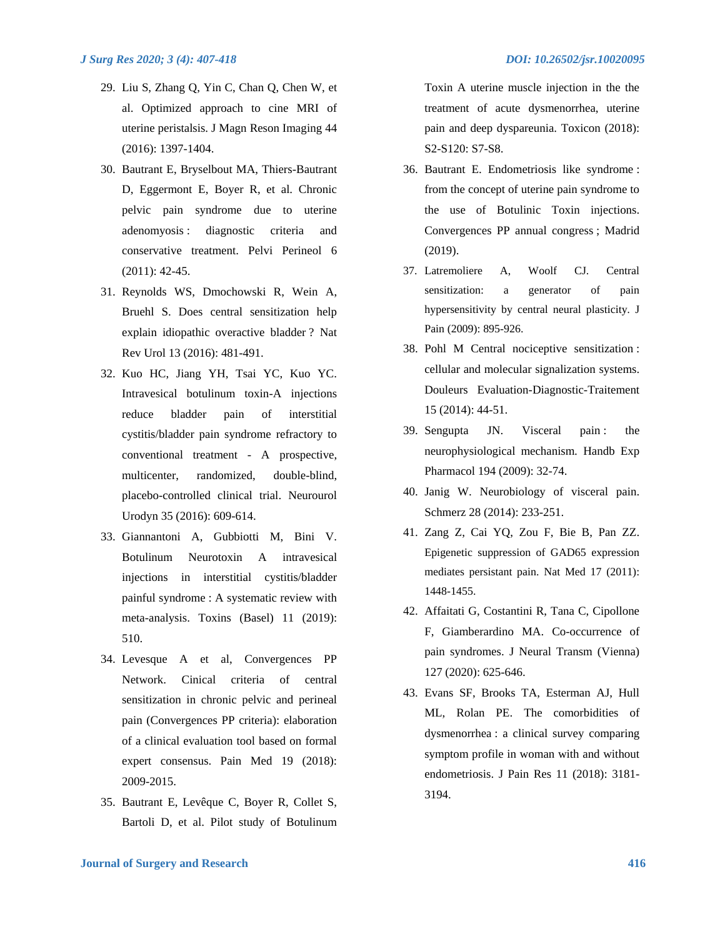- 29. Liu S, Zhang Q, Yin C, Chan Q, Chen W, et al. Optimized approach to cine MRI of uterine peristalsis. J Magn Reson Imaging 44 (2016): 1397-1404.
- 30. Bautrant E, Bryselbout MA, Thiers-Bautrant D, Eggermont E, Boyer R, et al. Chronic pelvic pain syndrome due to uterine adenomyosis : diagnostic criteria and conservative treatment. Pelvi Perineol 6 (2011): 42-45.
- 31. Reynolds WS, Dmochowski R, Wein A, Bruehl S. Does central sensitization help explain idiopathic overactive bladder ? Nat Rev Urol 13 (2016): 481-491.
- 32. Kuo HC, Jiang YH, Tsai YC, Kuo YC. Intravesical botulinum toxin-A injections reduce bladder pain of interstitial cystitis/bladder pain syndrome refractory to conventional treatment - A prospective, multicenter, randomized, double-blind, placebo-controlled clinical trial. Neurourol Urodyn 35 (2016): 609-614.
- 33. Giannantoni A, Gubbiotti M, Bini V. Botulinum Neurotoxin A intravesical injections in interstitial cystitis/bladder painful syndrome : A systematic review with meta-analysis. Toxins (Basel) 11 (2019): 510.
- 34. Levesque A et al, Convergences PP Network. Cinical criteria of central sensitization in chronic pelvic and perineal pain (Convergences PP criteria): elaboration of a clinical evaluation tool based on formal expert consensus. Pain Med 19 (2018): 2009-2015.
- 35. Bautrant E, Levêque C, Boyer R, Collet S, Bartoli D, et al. Pilot study of Botulinum

Toxin A uterine muscle injection in the the treatment of acute dysmenorrhea, uterine pain and deep dyspareunia. Toxicon (2018): S2-S120: S7-S8.

- 36. Bautrant E. Endometriosis like syndrome : from the concept of uterine pain syndrome to the use of Botulinic Toxin injections. Convergences PP annual congress ; Madrid (2019).
- 37. Latremoliere A, Woolf CJ. Central sensitization: a generator of pain hypersensitivity by central neural plasticity*.* J Pain (2009): 895-926.
- 38. Pohl M Central nociceptive sensitization : cellular and molecular signalization systems. Douleurs Evaluation-Diagnostic-Traitement 15 (2014): 44-51.
- 39. Sengupta JN. Visceral pain : the neurophysiological mechanism*.* Handb Exp Pharmacol 194 (2009): 32-74.
- 40. Janig W. Neurobiology of visceral pain. Schmerz 28 (2014): 233-251.
- 41. Zang Z, Cai YQ, Zou F, Bie B, Pan ZZ. Epigenetic suppression of GAD65 expression mediates persistant pain. Nat Med 17 (2011): 1448-1455.
- 42. Affaitati G, Costantini R, Tana C, Cipollone F, Giamberardino MA. Co-occurrence of pain syndromes. J Neural Transm (Vienna) 127 (2020): 625-646.
- 43. Evans SF, Brooks TA, Esterman AJ, Hull ML, Rolan PE. The comorbidities of dysmenorrhea : a clinical survey comparing symptom profile in woman with and without endometriosis. J Pain Res 11 (2018): 3181- 3194.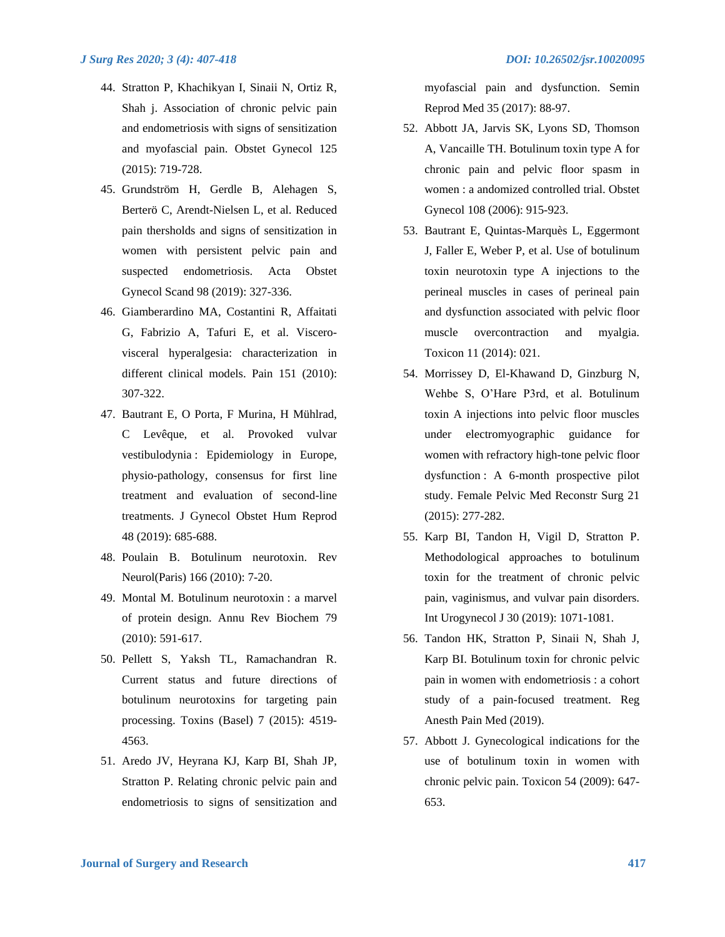- 44. Stratton P, Khachikyan I, Sinaii N, Ortiz R, Shah j. Association of chronic pelvic pain and endometriosis with signs of sensitization and myofascial pain. Obstet Gynecol 125 (2015): 719-728.
- 45. Grundström H, Gerdle B, Alehagen S, Berterö C, Arendt-Nielsen L, et al. Reduced pain thersholds and signs of sensitization in women with persistent pelvic pain and suspected endometriosis. Acta Obstet Gynecol Scand 98 (2019): 327-336.
- 46. Giamberardino MA, Costantini R, Affaitati G, Fabrizio A, Tafuri E, et al. Viscerovisceral hyperalgesia: characterization in different clinical models. Pain 151 (2010): 307-322.
- 47. Bautrant E, O Porta, F Murina, H Mühlrad, C Levêque, et al. Provoked vulvar vestibulodynia : Epidemiology in Europe, physio-pathology, consensus for first line treatment and evaluation of second-line treatments. J Gynecol Obstet Hum Reprod 48 (2019): 685-688.
- 48. Poulain B. Botulinum neurotoxin. Rev Neurol(Paris) 166 (2010): 7-20.
- 49. Montal M. Botulinum neurotoxin : a marvel of protein design. Annu Rev Biochem 79 (2010): 591-617.
- 50. Pellett S, Yaksh TL, Ramachandran R. Current status and future directions of botulinum neurotoxins for targeting pain processing. Toxins (Basel) 7 (2015): 4519- 4563.
- 51. Aredo JV, Heyrana KJ, Karp BI, Shah JP, Stratton P. Relating chronic pelvic pain and endometriosis to signs of sensitization and

myofascial pain and dysfunction. Semin Reprod Med 35 (2017): 88-97.

- 52. Abbott JA, Jarvis SK, Lyons SD, Thomson A, Vancaille TH. Botulinum toxin type A for chronic pain and pelvic floor spasm in women : a andomized controlled trial. Obstet Gynecol 108 (2006): 915-923.
- 53. Bautrant E, Quintas-Marquès L, Eggermont J, Faller E, Weber P, et al. Use of botulinum toxin neurotoxin type A injections to the perineal muscles in cases of perineal pain and dysfunction associated with pelvic floor muscle overcontraction and myalgia. Toxicon 11 (2014): 021.
- 54. Morrissey D, El-Khawand D, Ginzburg N, Wehbe S, O'Hare P3rd, et al. Botulinum toxin A injections into pelvic floor muscles under electromyographic guidance for women with refractory high-tone pelvic floor dysfunction : A 6-month prospective pilot study. Female Pelvic Med Reconstr Surg 21 (2015): 277-282.
- 55. Karp BI, Tandon H, Vigil D, Stratton P. Methodological approaches to botulinum toxin for the treatment of chronic pelvic pain, vaginismus, and vulvar pain disorders. Int Urogynecol J 30 (2019): 1071-1081.
- 56. Tandon HK, Stratton P, Sinaii N, Shah J, Karp BI. Botulinum toxin for chronic pelvic pain in women with endometriosis : a cohort study of a pain-focused treatment. Reg Anesth Pain Med (2019).
- 57. Abbott J. Gynecological indications for the use of botulinum toxin in women with chronic pelvic pain. Toxicon 54 (2009): 647- 653.